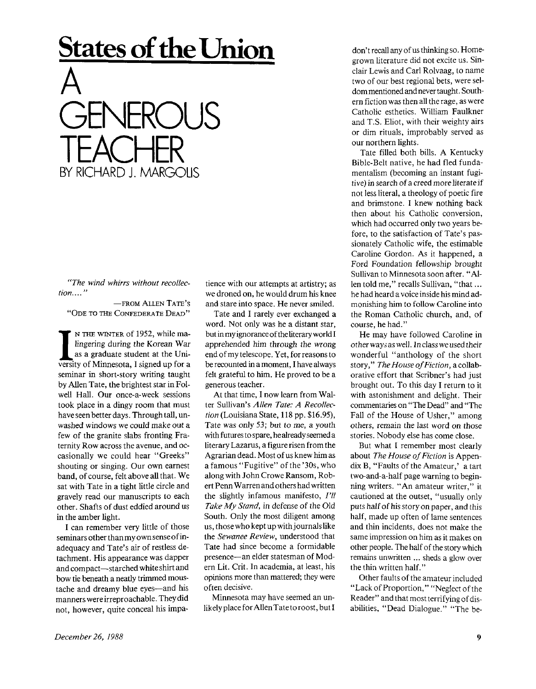## **States of the Union**



*"The wind whirrs without recollection. ..."* 

—FROM ALLEN TATE'S "ODE TO THE CONFEDERATE DEAD"

IN THE WINTER of 1952, while malingering during the Korean War as a graduate student at the University of Minnesota, I signed up for a N THE WINTER of 1952, while malingering during the Korean War as a graduate student at the Uniseminar in short-story writing taught by Allen Tate, the brightest star in Folwell Hall. Our once-a-week sessions took place in a dingy room that must have seen better days. Through tall, unwashed windows we could make out a few of the granite slabs fronting Fraternity Row across the avenue, and occasionally we could hear "Greeks" shouting or singing. Our own earnest band, of course, felt above all that. We sat with Tate in a tight little circle and gravely read our manuscripts to each other. Shafts of dust eddied around us in the amber light.

I can remember very little of those seminars other than my own sense of inadequacy and Tate's air of restless detachment. His appearance was dapper and compact—starched white shirt and bow tie beneath a neatly trimmed moustache and dreamy blue eyes—and his manners were irreproachable. They did not, however, quite conceal his impa-

tience with our attempts at artistry; as we droned on, he would drum his knee and stare into space. He never smiled.

Tate and I rarely ever exchanged a word. Not only was he a distant star, but in my ignorance of the literary world I apprehended him through the wrong end of my telescope. Yet, for reasons to be recounted in a moment, I have always felt grateful to him. He proved to be a generous teacher.

At that time, I now learn from Walter Sullivan's Allen *Tate: A Recollection* (Louisiana State, 118 pp. \$16.95), Tate was only 53; but to me, a youth with futures to spare, he already seemed a literary Lazarus, a figure risen from the Agrarian dead. Most of us knew him as a famous "Fugitive" of the '30s, who along with John Crowe Ransom, Robert Penn Warren and others had written the slightly infamous manifesto, *I'll Take My Stand,* in defense of the Old South. Only the most diligent among us, those who kept up with journals like the *Sewanee Review,* understood that Tate had since become a formidable presence—an elder statesman of Modern Lit. Crit. In academia, at least, his opinions more than mattered; they were often decisive.

Minnesota may have seemed an unlikely place for Allen Tate to roost, but I don't recall any of us thinking so. Homegrown literature did not excite us. Sinclair Lewis and Carl Rolvaag, to name two of our best regional bets, were seldom mentioned and never taught. Southern fiction was then all the rage, as were Catholic esthetics. William Faulkner and T.S. Eliot, with their weighty airs or dim rituals, improbably served as our northern lights.

Tate filled both bills. A Kentucky Bible-Belt native, he had fled fundamentalism (becoming an instant fugitive) in search of a creed more literateif not less literal, a theology of poetic fire and brimstone. I knew nothing back then about his Catholic conversion, which had occurred only two years before, to the satisfaction of Tate's passionately Catholic wife, the estimable Caroline Gordon. As it happened, a Ford Foundation fellowship brought Sullivan to Minnesota soon after. "Allen told me," recalls Sullivan, "that... he had heard a voice inside his mind admonishing him to follow Caroline into the Roman Catholic church, and, of course, he had."

He may have followed Caroline in other ways as well. In class we used their wonderful "anthology of the short story," *The House of Fiction, acoliab*orative effort that Scribner's had just brought out. To this day I return to it with astonishment and delight. Their commentaries on "The Dead" and "The Fall of the House of Usher," among others, remain the last word on those stories. Nobody else has come close.

But what I remember most clearly about *The House of Fiction* is Appendix B, "Faults of the Amateur,' a tart two-and-a-half page warning to beginning writers. "An amateur writer," it cautioned at the outset, "usually only puts half of his story on paper, and this half, made up often of lame sentences and thin incidents, does not make the same impression on him as it makes on other people. The half of the story which remains unwritten ... sheds a glow over the thin written half."

Other faults of the amateur included "Lack of Proportion," "Neglect of the Reader" and that most terrifying of disabilities, "Dead Dialogue." "The be